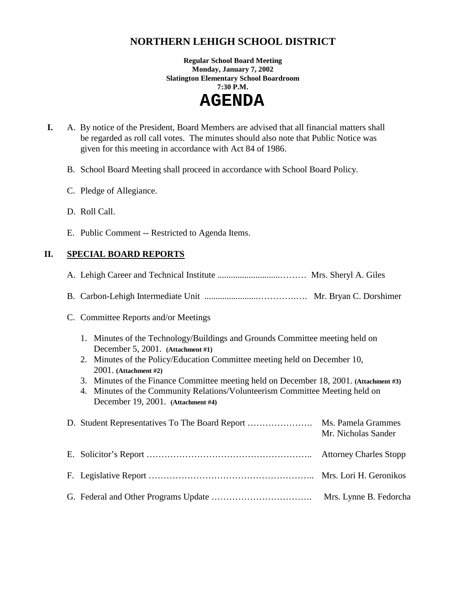# **NORTHERN LEHIGH SCHOOL DISTRICT**

**Regular School Board Meeting Monday, January 7, 2002 Slatington Elementary School Boardroom 7:30 P.M.** 

 **AGENDA** 

- **I.** A. By notice of the President, Board Members are advised that all financial matters shall be regarded as roll call votes. The minutes should also note that Public Notice was given for this meeting in accordance with Act 84 of 1986.
	- B. School Board Meeting shall proceed in accordance with School Board Policy.
	- C. Pledge of Allegiance.
	- D. Roll Call.
	- E. Public Comment -- Restricted to Agenda Items.

## **II. SPECIAL BOARD REPORTS**

| C. Committee Reports and/or Meetings                                                                                                                                                                                                                                                                                                                                                                                                      |                        |
|-------------------------------------------------------------------------------------------------------------------------------------------------------------------------------------------------------------------------------------------------------------------------------------------------------------------------------------------------------------------------------------------------------------------------------------------|------------------------|
| 1. Minutes of the Technology/Buildings and Grounds Committee meeting held on<br>December 5, 2001. (Attachment #1)<br>2. Minutes of the Policy/Education Committee meeting held on December 10,<br>$2001.$ (Attachment #2)<br>3. Minutes of the Finance Committee meeting held on December 18, 2001. (Attachment #3)<br>4. Minutes of the Community Relations/Volunteerism Committee Meeting held on<br>December 19, 2001. (Attachment #4) |                        |
|                                                                                                                                                                                                                                                                                                                                                                                                                                           | Mr. Nicholas Sander    |
|                                                                                                                                                                                                                                                                                                                                                                                                                                           |                        |
|                                                                                                                                                                                                                                                                                                                                                                                                                                           |                        |
|                                                                                                                                                                                                                                                                                                                                                                                                                                           | Mrs. Lynne B. Fedorcha |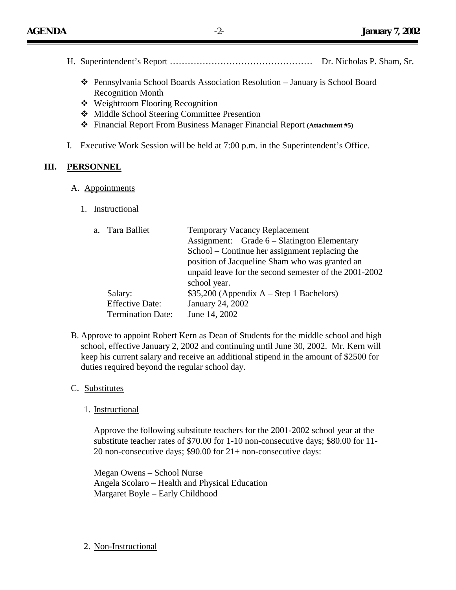- H. Superintendent's Report ………………………………………… Dr. Nicholas P. Sham, Sr.
	- ! Pennsylvania School Boards Association Resolution January is School Board Recognition Month
	- ❖ Weightroom Flooring Recognition
	- ❖ Middle School Steering Committee Presention
	- ! Financial Report From Business Manager Financial Report **(Attachment #5)**
- I. Executive Work Session will be held at 7:00 p.m. in the Superintendent's Office.

#### **III. PERSONNEL**

#### A. Appointments

1. Instructional

| a. Tara Balliet          | <b>Temporary Vacancy Replacement</b>                  |  |  |
|--------------------------|-------------------------------------------------------|--|--|
|                          | Assignment: Grade 6 – Slatington Elementary           |  |  |
|                          | School – Continue her assignment replacing the        |  |  |
|                          | position of Jacqueline Sham who was granted an        |  |  |
|                          | unpaid leave for the second semester of the 2001-2002 |  |  |
|                          | school year.                                          |  |  |
| Salary:                  | $$35,200$ (Appendix A – Step 1 Bachelors)             |  |  |
| <b>Effective Date:</b>   | January 24, 2002                                      |  |  |
| <b>Termination Date:</b> | June 14, 2002                                         |  |  |

B. Approve to appoint Robert Kern as Dean of Students for the middle school and high school, effective January 2, 2002 and continuing until June 30, 2002. Mr. Kern will keep his current salary and receive an additional stipend in the amount of \$2500 for duties required beyond the regular school day.

#### C. Substitutes

1. Instructional

Approve the following substitute teachers for the 2001-2002 school year at the substitute teacher rates of \$70.00 for 1-10 non-consecutive days; \$80.00 for 11- 20 non-consecutive days; \$90.00 for 21+ non-consecutive days:

Megan Owens – School Nurse Angela Scolaro – Health and Physical Education Margaret Boyle – Early Childhood

2. Non-Instructional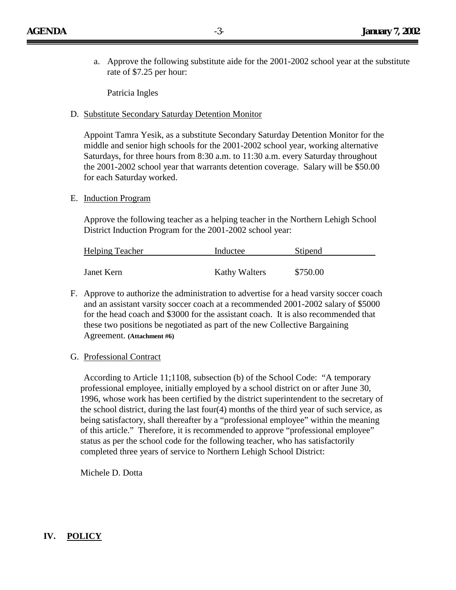a. Approve the following substitute aide for the 2001-2002 school year at the substitute rate of \$7.25 per hour:

Patricia Ingles

D. Substitute Secondary Saturday Detention Monitor

Appoint Tamra Yesik, as a substitute Secondary Saturday Detention Monitor for the middle and senior high schools for the 2001-2002 school year, working alternative Saturdays, for three hours from 8:30 a.m. to 11:30 a.m. every Saturday throughout the 2001-2002 school year that warrants detention coverage. Salary will be \$50.00 for each Saturday worked.

E. Induction Program

Approve the following teacher as a helping teacher in the Northern Lehigh School District Induction Program for the 2001-2002 school year:

| <b>Helping Teacher</b> | Inductee             | Stipend  |
|------------------------|----------------------|----------|
|                        |                      |          |
| Janet Kern             | <b>Kathy Walters</b> | \$750.00 |

- F. Approve to authorize the administration to advertise for a head varsity soccer coach and an assistant varsity soccer coach at a recommended 2001-2002 salary of \$5000 for the head coach and \$3000 for the assistant coach. It is also recommended that these two positions be negotiated as part of the new Collective Bargaining Agreement. **(Attachment #6)**
- G. Professional Contract

 According to Article 11;1108, subsection (b) of the School Code: "A temporary professional employee, initially employed by a school district on or after June 30, 1996, whose work has been certified by the district superintendent to the secretary of the school district, during the last four(4) months of the third year of such service, as being satisfactory, shall thereafter by a "professional employee" within the meaning of this article." Therefore, it is recommended to approve "professional employee" status as per the school code for the following teacher, who has satisfactorily completed three years of service to Northern Lehigh School District:

Michele D. Dotta

## **IV. POLICY**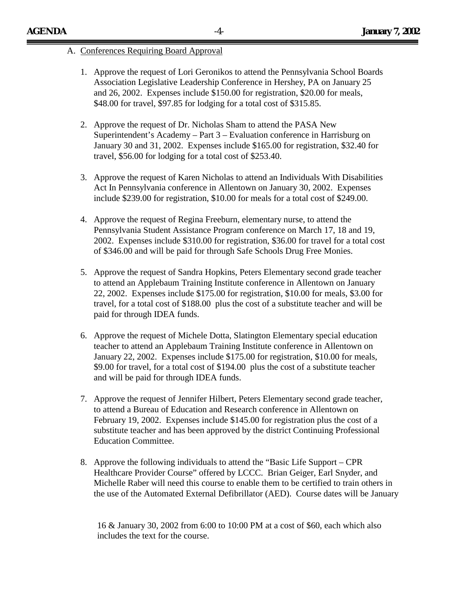#### A. Conferences Requiring Board Approval

- 1. Approve the request of Lori Geronikos to attend the Pennsylvania School Boards Association Legislative Leadership Conference in Hershey, PA on January 25 and 26, 2002. Expenses include \$150.00 for registration, \$20.00 for meals, \$48.00 for travel, \$97.85 for lodging for a total cost of \$315.85.
- 2. Approve the request of Dr. Nicholas Sham to attend the PASA New Superintendent's Academy – Part 3 – Evaluation conference in Harrisburg on January 30 and 31, 2002. Expenses include \$165.00 for registration, \$32.40 for travel, \$56.00 for lodging for a total cost of \$253.40.
- 3. Approve the request of Karen Nicholas to attend an Individuals With Disabilities Act In Pennsylvania conference in Allentown on January 30, 2002. Expenses include \$239.00 for registration, \$10.00 for meals for a total cost of \$249.00.
- 4. Approve the request of Regina Freeburn, elementary nurse, to attend the Pennsylvania Student Assistance Program conference on March 17, 18 and 19, 2002. Expenses include \$310.00 for registration, \$36.00 for travel for a total cost of \$346.00 and will be paid for through Safe Schools Drug Free Monies.
- 5. Approve the request of Sandra Hopkins, Peters Elementary second grade teacher to attend an Applebaum Training Institute conference in Allentown on January 22, 2002. Expenses include \$175.00 for registration, \$10.00 for meals, \$3.00 for travel, for a total cost of \$188.00 plus the cost of a substitute teacher and will be paid for through IDEA funds.
- 6. Approve the request of Michele Dotta, Slatington Elementary special education teacher to attend an Applebaum Training Institute conference in Allentown on January 22, 2002. Expenses include \$175.00 for registration, \$10.00 for meals, \$9.00 for travel, for a total cost of \$194.00 plus the cost of a substitute teacher and will be paid for through IDEA funds.
- 7. Approve the request of Jennifer Hilbert, Peters Elementary second grade teacher, to attend a Bureau of Education and Research conference in Allentown on February 19, 2002. Expenses include \$145.00 for registration plus the cost of a substitute teacher and has been approved by the district Continuing Professional Education Committee.
- 8. Approve the following individuals to attend the "Basic Life Support CPR Healthcare Provider Course" offered by LCCC. Brian Geiger, Earl Snyder, and Michelle Raber will need this course to enable them to be certified to train others in the use of the Automated External Defibrillator (AED). Course dates will be January

16 & January 30, 2002 from 6:00 to 10:00 PM at a cost of \$60, each which also includes the text for the course.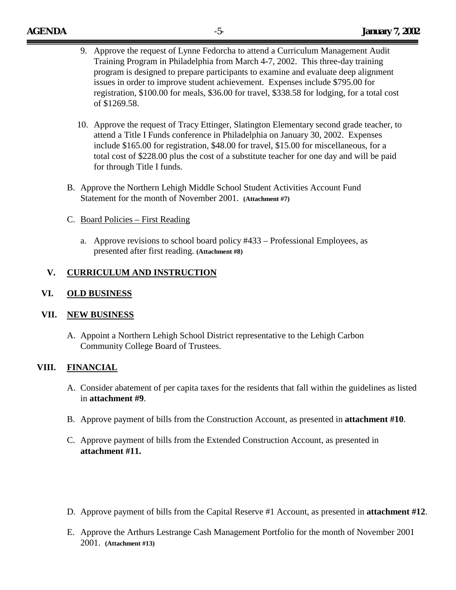- 9. Approve the request of Lynne Fedorcha to attend a Curriculum Management Audit Training Program in Philadelphia from March 4-7, 2002. This three-day training program is designed to prepare participants to examine and evaluate deep alignment issues in order to improve student achievement. Expenses include \$795.00 for registration, \$100.00 for meals, \$36.00 for travel, \$338.58 for lodging, for a total cost of \$1269.58.
- 10. Approve the request of Tracy Ettinger, Slatington Elementary second grade teacher, to attend a Title I Funds conference in Philadelphia on January 30, 2002. Expenses include \$165.00 for registration, \$48.00 for travel, \$15.00 for miscellaneous, for a total cost of \$228.00 plus the cost of a substitute teacher for one day and will be paid for through Title I funds.
- B. Approve the Northern Lehigh Middle School Student Activities Account Fund Statement for the month of November 2001. **(Attachment #7)**
- C. Board Policies First Reading
	- a. Approve revisions to school board policy #433 Professional Employees, as presented after first reading. **(Attachment #8)**

## **V. CURRICULUM AND INSTRUCTION**

### **VI. OLD BUSINESS**

#### **VII. NEW BUSINESS**

A. Appoint a Northern Lehigh School District representative to the Lehigh Carbon Community College Board of Trustees.

### **VIII. FINANCIAL**

- A. Consider abatement of per capita taxes for the residents that fall within the guidelines as listed in **attachment #9**.
- B. Approve payment of bills from the Construction Account, as presented in **attachment #10**.
- C. Approve payment of bills from the Extended Construction Account, as presented in **attachment #11.**
- D. Approve payment of bills from the Capital Reserve #1 Account, as presented in **attachment #12**.
- E. Approve the Arthurs Lestrange Cash Management Portfolio for the month of November 2001 2001. **(Attachment #13)**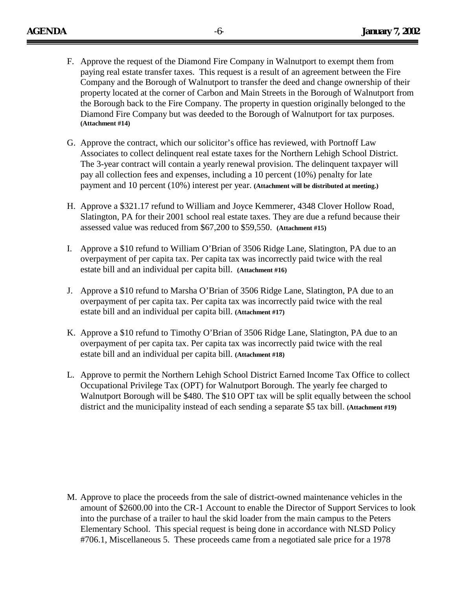- F. Approve the request of the Diamond Fire Company in Walnutport to exempt them from paying real estate transfer taxes. This request is a result of an agreement between the Fire Company and the Borough of Walnutport to transfer the deed and change ownership of their property located at the corner of Carbon and Main Streets in the Borough of Walnutport from the Borough back to the Fire Company. The property in question originally belonged to the Diamond Fire Company but was deeded to the Borough of Walnutport for tax purposes. **(Attachment #14)**
- G. Approve the contract, which our solicitor's office has reviewed, with Portnoff Law Associates to collect delinquent real estate taxes for the Northern Lehigh School District. The 3-year contract will contain a yearly renewal provision. The delinquent taxpayer will pay all collection fees and expenses, including a 10 percent (10%) penalty for late payment and 10 percent (10%) interest per year. **(Attachment will be distributed at meeting.)**
- H. Approve a \$321.17 refund to William and Joyce Kemmerer, 4348 Clover Hollow Road, Slatington, PA for their 2001 school real estate taxes. They are due a refund because their assessed value was reduced from \$67,200 to \$59,550. **(Attachment #15)**
- I. Approve a \$10 refund to William O'Brian of 3506 Ridge Lane, Slatington, PA due to an overpayment of per capita tax. Per capita tax was incorrectly paid twice with the real estate bill and an individual per capita bill. **(Attachment #16)**
- J. Approve a \$10 refund to Marsha O'Brian of 3506 Ridge Lane, Slatington, PA due to an overpayment of per capita tax. Per capita tax was incorrectly paid twice with the real estate bill and an individual per capita bill. **(Attachment #17)**
- K. Approve a \$10 refund to Timothy O'Brian of 3506 Ridge Lane, Slatington, PA due to an overpayment of per capita tax. Per capita tax was incorrectly paid twice with the real estate bill and an individual per capita bill. **(Attachment #18)**
- L. Approve to permit the Northern Lehigh School District Earned Income Tax Office to collect Occupational Privilege Tax (OPT) for Walnutport Borough. The yearly fee charged to Walnutport Borough will be \$480. The \$10 OPT tax will be split equally between the school district and the municipality instead of each sending a separate \$5 tax bill. **(Attachment #19)**

M. Approve to place the proceeds from the sale of district-owned maintenance vehicles in the amount of \$2600.00 into the CR-1 Account to enable the Director of Support Services to look into the purchase of a trailer to haul the skid loader from the main campus to the Peters Elementary School. This special request is being done in accordance with NLSD Policy #706.1, Miscellaneous 5. These proceeds came from a negotiated sale price for a 1978